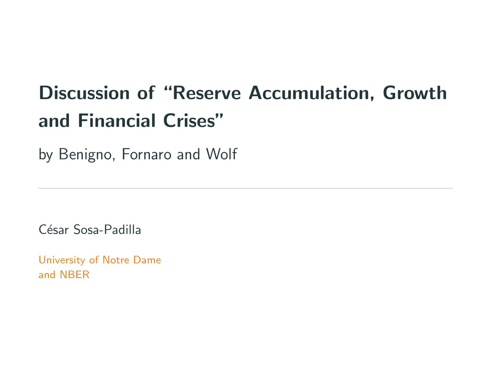# Discussion of "Reserve Accumulation, Growth and Financial Crises"

by Benigno, Fornaro and Wolf

César Sosa-Padilla

University of Notre Dame and NBER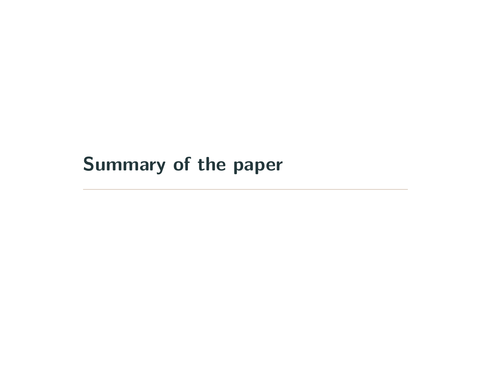# <span id="page-1-0"></span>[Summary of the paper](#page-1-0)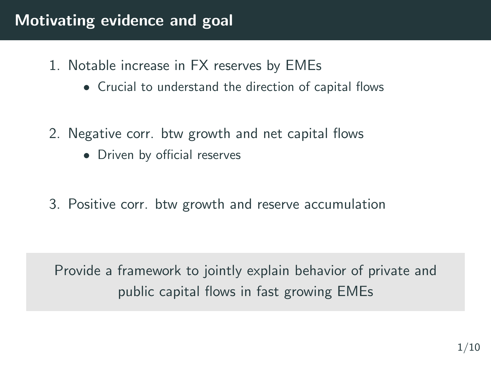### Motivating evidence and goal

- 1. Notable increase in FX reserves by EMEs
	- Crucial to understand the direction of capital flows
- 2. Negative corr. btw growth and net capital flows
	- Driven by official reserves
- 3. Positive corr. btw growth and reserve accumulation

Provide a framework to jointly explain behavior of private and public capital flows in fast growing EMEs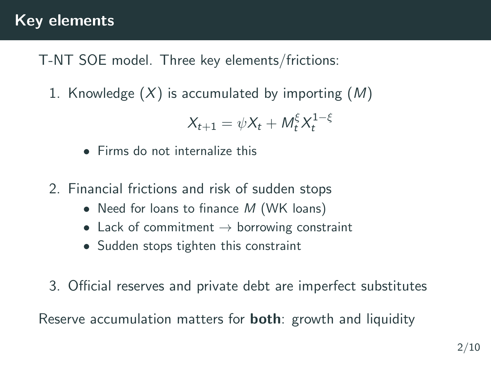#### Key elements

T-NT SOE model. Three key elements/frictions:

1. Knowledge  $(X)$  is accumulated by importing  $(M)$ 

$$
X_{t+1} = \psi X_t + M_t^{\xi} X_t^{1-\xi}
$$

- Firms do not internalize this
- 2. Financial frictions and risk of sudden stops
	- Need for loans to finance  $M$  (WK loans)
	- Lack of commitment  $\rightarrow$  borrowing constraint
	- Sudden stops tighten this constraint
- 3. Official reserves and private debt are imperfect substitutes

Reserve accumulation matters for **both**: growth and liquidity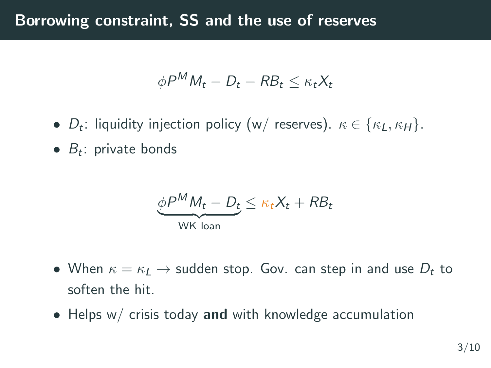#### Borrowing constraint, SS and the use of reserves

$$
\phi P^{M} M_{t} - D_{t} - R B_{t} \leq \kappa_{t} X_{t}
$$

- $D_t$ : liquidity injection policy (w/ reserves).  $\kappa \in \{\kappa_L, \kappa_H\}$ .
- $B_t$ : private bonds

$$
\underbrace{\phi P^M M_t - D_t}_{\text{WK loan}} \le \kappa_t X_t + R B_t
$$

- When  $\kappa = \kappa_L \rightarrow$  sudden stop. Gov. can step in and use  $D_t$  to soften the hit.
- Helps  $w/$  crisis today and with knowledge accumulation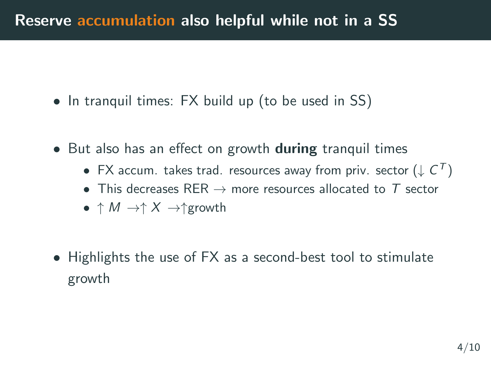- In tranquil times: FX build up (to be used in SS)
- But also has an effect on growth **during** tranquil times
	- $\bullet\,$  FX accum. takes trad. resources away from priv. sector  $(\downarrow C^{\mathsf{T}})$
	- This decreases RER  $\rightarrow$  more resources allocated to T sector
	- $\uparrow M \rightarrow \uparrow X \rightarrow \uparrow$ growth
- Highlights the use of FX as a second-best tool to stimulate growth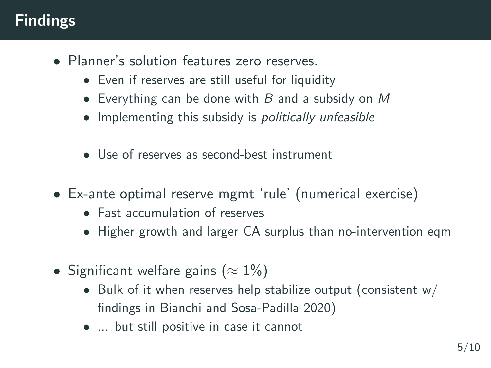## Findings

- Planner's solution features zero reserves.
	- Even if reserves are still useful for liquidity
	- Everything can be done with  $B$  and a subsidy on  $M$
	- Implementing this subsidy is *politically unfeasible*
	- Use of reserves as second-best instrument
- Ex-ante optimal reserve mgmt 'rule' (numerical exercise)
	- Fast accumulation of reserves
	- Higher growth and larger CA surplus than no-intervention eqm
- Significant welfare gains ( $\approx 1\%$ )
	- Bulk of it when reserves help stabilize output (consistent  $w/$ findings in Bianchi and Sosa-Padilla 2020)
	- ... but still positive in case it cannot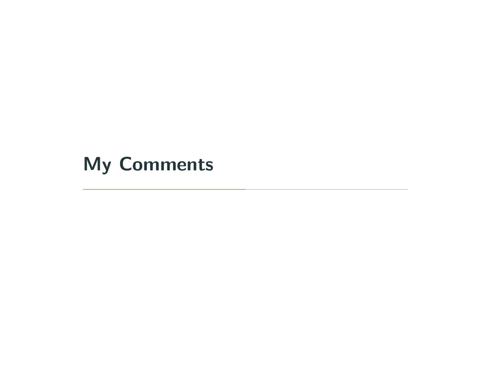# <span id="page-7-0"></span>[My Comments](#page-7-0)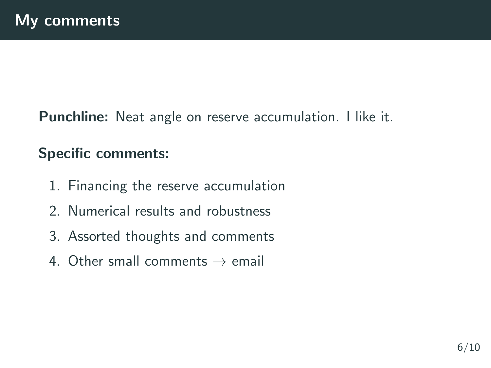Punchline: Neat angle on reserve accumulation. I like it.

#### Specific comments:

- 1. Financing the reserve accumulation
- 2. Numerical results and robustness
- 3. Assorted thoughts and comments
- 4. Other small comments  $\rightarrow$  email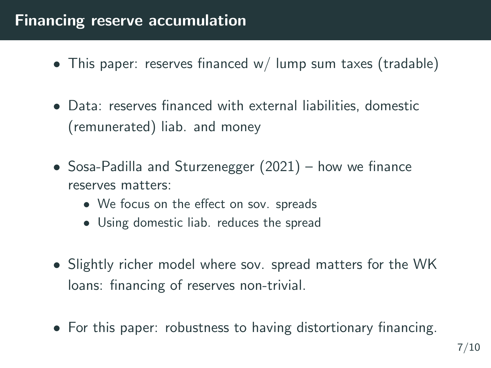### Financing reserve accumulation

- This paper: reserves financed w/ lump sum taxes (tradable)
- Data: reserves financed with external liabilities, domestic (remunerated) liab. and money
- Sosa-Padilla and Sturzenegger (2021) how we finance reserves matters:
	- We focus on the effect on sov. spreads
	- Using domestic liab. reduces the spread
- Slightly richer model where sov. spread matters for the WK loans: financing of reserves non-trivial.
- For this paper: robustness to having distortionary financing.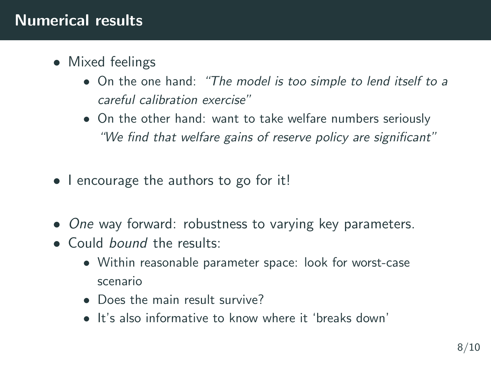- Mixed feelings
	- On the one hand: "The model is too simple to lend itself to a careful calibration exercise"
	- On the other hand: want to take welfare numbers seriously "We find that welfare gains of reserve policy are significant"
- I encourage the authors to go for it!
- One way forward: robustness to varying key parameters.
- Could bound the results:
	- Within reasonable parameter space: look for worst-case scenario
	- Does the main result survive?
	- It's also informative to know where it 'breaks down'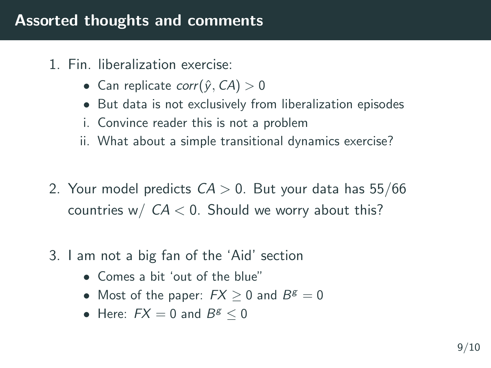- 1. Fin. liberalization exercise:
	- Can replicate corr $(\hat{y}, CA) > 0$
	- But data is not exclusively from liberalization episodes
	- i. Convince reader this is not a problem
	- ii. What about a simple transitional dynamics exercise?
- 2. Your model predicts  $CA > 0$ . But your data has 55/66 countries w/  $CA < 0$ . Should we worry about this?
- 3. I am not a big fan of the 'Aid' section
	- Comes a bit 'out of the blue"
	- Most of the paper:  $FX \geq 0$  and  $B^g = 0$
	- Here:  $FX = 0$  and  $B^g \leq 0$